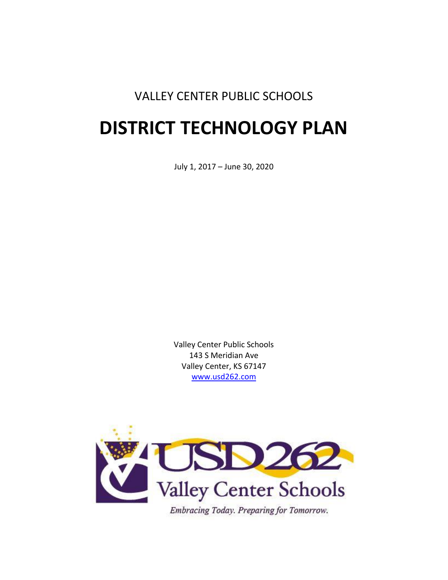# VALLEY CENTER PUBLIC SCHOOLS

# **DISTRICT TECHNOLOGY PLAN**

July 1, 2017 – June 30, 2020

Valley Center Public Schools 143 S Meridian Ave Valley Center, KS 67147 [www.usd262.com](http://www.usd262.com/)



Embracing Today. Preparing for Tomorrow.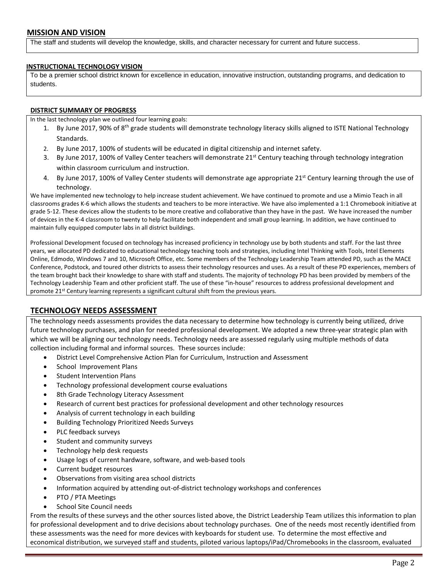The staff and students will develop the knowledge, skills, and character necessary for current and future success.

#### **INSTRUCTIONAL TECHNOLOGY VISION**

To be a premier school district known for excellence in education, innovative instruction, outstanding programs, and dedication to students.

#### **DISTRICT SUMMARY OF PROGRESS**

In the last technology plan we outlined four learning goals:

- 1. By June 2017, 90% of 8<sup>th</sup> grade students will demonstrate technology literacy skills aligned to ISTE National Technology Standards.
- 2. By June 2017, 100% of students will be educated in digital citizenship and internet safety.
- 3. By June 2017, 100% of Valley Center teachers will demonstrate 21<sup>st</sup> Century teaching through technology integration within classroom curriculum and instruction.
- 4. By June 2017, 100% of Valley Center students will demonstrate age appropriate 21<sup>st</sup> Century learning through the use of technology.

We have implemented new technology to help increase student achievement. We have continued to promote and use a Mimio Teach in all classrooms grades K-6 which allows the students and teachers to be more interactive. We have also implemented a 1:1 Chromebook initiative at grade 5-12. These devices allow the students to be more creative and collaborative than they have in the past. We have increased the number of devices in the K-4 classroom to twenty to help facilitate both independent and small group learning. In addition, we have continued to maintain fully equipped computer labs in all district buildings.

Professional Development focused on technology has increased proficiency in technology use by both students and staff. For the last three years, we allocated PD dedicated to educational technology teaching tools and strategies, including Intel Thinking with Tools, Intel Elements Online, Edmodo, Windows 7 and 10, Microsoft Office, etc. Some members of the Technology Leadership Team attended PD, such as the MACE Conference, Podstock, and toured other districts to assess their technology resources and uses. As a result of these PD experiences, members of the team brought back their knowledge to share with staff and students. The majority of technology PD has been provided by members of the Technology Leadership Team and other proficient staff. The use of these "in-house" resources to address professional development and promote 21<sup>st</sup> Century learning represents a significant cultural shift from the previous years.

# **TECHNOLOGY NEEDS ASSESSMENT**

The technology needs assessments provides the data necessary to determine how technology is currently being utilized, drive future technology purchases, and plan for needed professional development. We adopted a new three-year strategic plan with which we will be aligning our technology needs. Technology needs are assessed regularly using multiple methods of data collection including formal and informal sources. These sources include:

- District Level Comprehensive Action Plan for Curriculum, Instruction and Assessment
- School Improvement Plans
- Student Intervention Plans
- Technology professional development course evaluations
- 8th Grade Technology Literacy Assessment
- Research of current best practices for professional development and other technology resources
- Analysis of current technology in each building
- Building Technology Prioritized Needs Surveys
- PLC feedback surveys
- Student and community surveys
- Technology help desk requests
- Usage logs of current hardware, software, and web-based tools
- Current budget resources
- Observations from visiting area school districts
- Information acquired by attending out-of-district technology workshops and conferences
- PTO / PTA Meetings
- School Site Council needs

From the results of these surveys and the other sources listed above, the District Leadership Team utilizes this information to plan for professional development and to drive decisions about technology purchases. One of the needs most recently identified from these assessments was the need for more devices with keyboards for student use. To determine the most effective and economical distribution, we surveyed staff and students, piloted various laptops/iPad/Chromebooks in the classroom, evaluated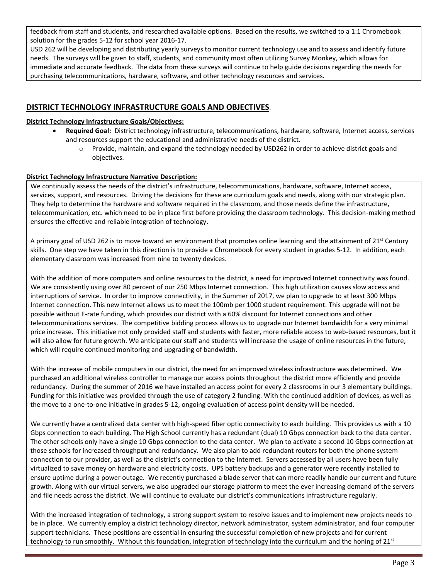feedback from staff and students, and researched available options. Based on the results, we switched to a 1:1 Chromebook solution for the grades 5-12 for school year 2016-17.

USD 262 will be developing and distributing yearly surveys to monitor current technology use and to assess and identify future needs. The surveys will be given to staff, students, and community most often utilizing Survey Monkey, which allows for immediate and accurate feedback. The data from these surveys will continue to help guide decisions regarding the needs for purchasing telecommunications, hardware, software, and other technology resources and services.

# **DISTRICT TECHNOLOGY INFRASTRUCTURE GOALS AND OBJECTIVES**.

#### **District Technology Infrastructure Goals/Objectives:**

- **Required Goal:** District technology infrastructure, telecommunications, hardware, software, Internet access, services and resources support the educational and administrative needs of the district.
	- o Provide, maintain, and expand the technology needed by USD262 in order to achieve district goals and objectives.

# **District Technology Infrastructure Narrative Description:**

We continually assess the needs of the district's infrastructure, telecommunications, hardware, software, Internet access, services, support, and resources. Driving the decisions for these are curriculum goals and needs, along with our strategic plan. They help to determine the hardware and software required in the classroom, and those needs define the infrastructure, telecommunication, etc. which need to be in place first before providing the classroom technology. This decision-making method ensures the effective and reliable integration of technology.

A primary goal of USD 262 is to move toward an environment that promotes online learning and the attainment of 21<sup>st</sup> Century skills. One step we have taken in this direction is to provide a Chromebook for every student in grades 5-12. In addition, each elementary classroom was increased from nine to twenty devices.

With the addition of more computers and online resources to the district, a need for improved Internet connectivity was found. We are consistently using over 80 percent of our 250 Mbps Internet connection. This high utilization causes slow access and interruptions of service. In order to improve connectivity, in the Summer of 2017, we plan to upgrade to at least 300 Mbps Internet connection. This new Internet allows us to meet the 100mb per 1000 student requirement. This upgrade will not be possible without E-rate funding, which provides our district with a 60% discount for Internet connections and other telecommunications services. The competitive bidding process allows us to upgrade our Internet bandwidth for a very minimal price increase. This initiative not only provided staff and students with faster, more reliable access to web-based resources, but it will also allow for future growth. We anticipate our staff and students will increase the usage of online resources in the future, which will require continued monitoring and upgrading of bandwidth.

With the increase of mobile computers in our district, the need for an improved wireless infrastructure was determined. We purchased an additional wireless controller to manage our access points throughout the district more efficiently and provide redundancy. During the summer of 2016 we have installed an access point for every 2 classrooms in our 3 elementary buildings. Funding for this initiative was provided through the use of category 2 funding. With the continued addition of devices, as well as the move to a one-to-one initiative in grades 5-12, ongoing evaluation of access point density will be needed.

We currently have a centralized data center with high-speed fiber optic connectivity to each building. This provides us with a 10 Gbps connection to each building. The High School currently has a redundant (dual) 10 Gbps connection back to the data center. The other schools only have a single 10 Gbps connection to the data center. We plan to activate a second 10 Gbps connection at those schools for increased throughput and redundancy. We also plan to add redundant routers for both the phone system connection to our provider, as well as the district's connection to the Internet. Servers accessed by all users have been fully virtualized to save money on hardware and electricity costs. UPS battery backups and a generator were recently installed to ensure uptime during a power outage. We recently purchased a blade server that can more readily handle our current and future growth. Along with our virtual servers, we also upgraded our storage platform to meet the ever increasing demand of the servers and file needs across the district. We will continue to evaluate our district's communications infrastructure regularly.

With the increased integration of technology, a strong support system to resolve issues and to implement new projects needs to be in place. We currently employ a district technology director, network administrator, system administrator, and four computer support technicians. These positions are essential in ensuring the successful completion of new projects and for current technology to run smoothly. Without this foundation, integration of technology into the curriculum and the honing of  $21^{st}$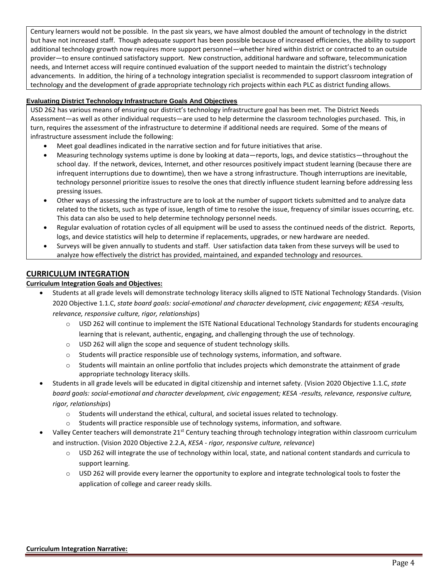Century learners would not be possible. In the past six years, we have almost doubled the amount of technology in the district but have not increased staff. Though adequate support has been possible because of increased efficiencies, the ability to support additional technology growth now requires more support personnel—whether hired within district or contracted to an outside provider—to ensure continued satisfactory support. New construction, additional hardware and software, telecommunication needs, and Internet access will require continued evaluation of the support needed to maintain the district's technology advancements. In addition, the hiring of a technology integration specialist is recommended to support classroom integration of technology and the development of grade appropriate technology rich projects within each PLC as district funding allows.

# **Evaluating District Technology Infrastructure Goals And Objectives**

USD 262 has various means of ensuring our district's technology infrastructure goal has been met. The District Needs Assessment—as well as other individual requests—are used to help determine the classroom technologies purchased. This, in turn, requires the assessment of the infrastructure to determine if additional needs are required. Some of the means of infrastructure assessment include the following:

- Meet goal deadlines indicated in the narrative section and for future initiatives that arise.
- Measuring technology systems uptime is done by looking at data—reports, logs, and device statistics—throughout the school day. If the network, devices, Internet, and other resources positively impact student learning (because there are infrequent interruptions due to downtime), then we have a strong infrastructure. Though interruptions are inevitable, technology personnel prioritize issues to resolve the ones that directly influence student learning before addressing less pressing issues.
- Other ways of assessing the infrastructure are to look at the number of support tickets submitted and to analyze data related to the tickets, such as type of issue, length of time to resolve the issue, frequency of similar issues occurring, etc. This data can also be used to help determine technology personnel needs.
- Regular evaluation of rotation cycles of all equipment will be used to assess the continued needs of the district. Reports, logs, and device statistics will help to determine if replacements, upgrades, or new hardware are needed.
- Surveys will be given annually to students and staff. User satisfaction data taken from these surveys will be used to analyze how effectively the district has provided, maintained, and expanded technology and resources.

# **CURRICULUM INTEGRATION**

# **Curriculum Integration Goals and Objectives:**

- Students at all grade levels will demonstrate technology literacy skills aligned to ISTE National Technology Standards. (Vision 2020 Objective 1.1.C, *state board goals: social-emotional and character development, civic engagement; KESA -results, relevance, responsive culture, rigor, relationships*)
	- $\circ$  USD 262 will continue to implement the ISTE National Educational Technology Standards for students encouraging learning that is relevant, authentic, engaging, and challenging through the use of technology.
	- o USD 262 will align the scope and sequence of student technology skills.
	- o Students will practice responsible use of technology systems, information, and software.
	- $\circ$  Students will maintain an online portfolio that includes projects which demonstrate the attainment of grade appropriate technology literacy skills.
- Students in all grade levels will be educated in digital citizenship and internet safety. (Vision 2020 Objective 1.1.C, *state board goals: social-emotional and character development, civic engagement; KESA -results, relevance, responsive culture, rigor, relationships*)
	- $\circ$  Students will understand the ethical, cultural, and societal issues related to technology.
	- o Students will practice responsible use of technology systems, information, and software.
- Valley Center teachers will demonstrate 21<sup>st</sup> Century teaching through technology integration within classroom curriculum and instruction. (Vision 2020 Objective 2.2.A, *KESA - rigor, responsive culture, relevance*)
	- o USD 262 will integrate the use of technology within local, state, and national content standards and curricula to support learning.
	- $\circ$  USD 262 will provide every learner the opportunity to explore and integrate technological tools to foster the application of college and career ready skills.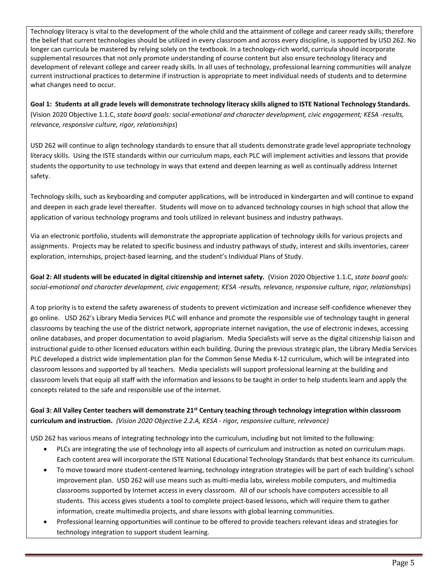Technology literacy is vital to the development of the whole child and the attainment of college and career ready skills; therefore the belief that current technologies should be utilized in every classroom and across every discipline, is supported by USD 262. No longer can curricula be mastered by relying solely on the textbook. In a technology-rich world, curricula should incorporate supplemental resources that not only promote understanding of course content but also ensure technology literacy and development of relevant college and career ready skills. In all uses of technology, professional learning communities will analyze current instructional practices to determine if instruction is appropriate to meet individual needs of students and to determine what changes need to occur.

**Goal 1: Students at all grade levels will demonstrate technology literacy skills aligned to ISTE National Technology Standards.**  (Vision 2020 Objective 1.1.C, *state board goals: social-emotional and character development, civic engagement; KESA -results, relevance, responsive culture, rigor, relationships*)

USD 262 will continue to align technology standards to ensure that all students demonstrate grade level appropriate technology literacy skills. Using the ISTE standards within our curriculum maps, each PLC will implement activities and lessons that provide students the opportunity to use technology in ways that extend and deepen learning as well as continually address Internet safety.

Technology skills, such as keyboarding and computer applications, will be introduced in kindergarten and will continue to expand and deepen in each grade level thereafter. Students will move on to advanced technology courses in high school that allow the application of various technology programs and tools utilized in relevant business and industry pathways.

Via an electronic portfolio, students will demonstrate the appropriate application of technology skills for various projects and assignments. Projects may be related to specific business and industry pathways of study, interest and skills inventories, career exploration, internships, project-based learning, and the student's Individual Plans of Study.

**Goal 2: All students will be educated in digital citizenship and internet safety.** (Vision 2020 Objective 1.1.C, *state board goals: social-emotional and character development, civic engagement; KESA -results, relevance, responsive culture, rigor, relationships*)

A top priority is to extend the safety awareness of students to prevent victimization and increase self-confidence whenever they go online. USD 262's Library Media Services PLC will enhance and promote the responsible use of technology taught in general classrooms by teaching the use of the district network, appropriate internet navigation, the use of electronic indexes, accessing online databases, and proper documentation to avoid plagiarism. Media Specialists will serve as the digital citizenship liaison and instructional guide to other licensed educators within each building. During the previous strategic plan, the Library Media Services PLC developed a district wide implementation plan for the Common Sense Media K-12 curriculum, which will be integrated into classroom lessons and supported by all teachers. Media specialists will support professional learning at the building and classroom levels that equip all staff with the information and lessons to be taught in order to help students learn and apply the concepts related to the safe and responsible use of the internet.

**Goal 3: All Valley Center teachers will demonstrate 21st Century teaching through technology integration within classroom curriculum and instruction.** *(Vision 2020 Objective 2.2.A, KESA - rigor, responsive culture, relevance)*

USD 262 has various means of integrating technology into the curriculum, including but not limited to the following:

- PLCs are integrating the use of technology into all aspects of curriculum and instruction as noted on curriculum maps. Each content area will incorporate the ISTE National Educational Technology Standards that best enhance its curriculum.
- To move toward more student-centered learning, technology integration strategies will be part of each building's school improvement plan. USD 262 will use means such as multi-media labs, wireless mobile computers, and multimedia classrooms supported by Internet access in every classroom. All of our schools have computers accessible to all students. This access gives students a tool to complete project-based lessons, which will require them to gather information, create multimedia projects, and share lessons with global learning communities.
- Professional learning opportunities will continue to be offered to provide teachers relevant ideas and strategies for technology integration to support student learning.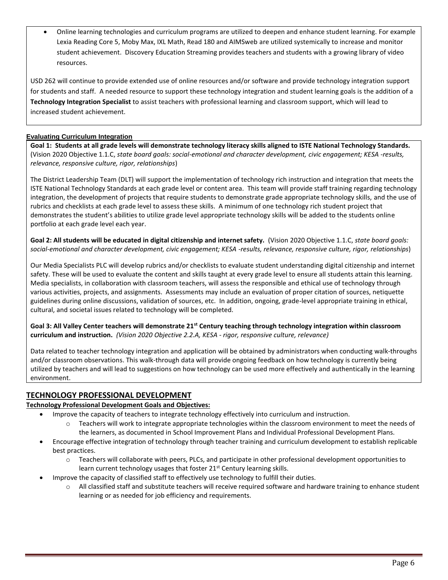Online learning technologies and curriculum programs are utilized to deepen and enhance student learning. For example Lexia Reading Core 5, Moby Max, IXL Math, Read 180 and AIMSweb are utilized systemically to increase and monitor student achievement. Discovery Education Streaming provides teachers and students with a growing library of video resources.

USD 262 will continue to provide extended use of online resources and/or software and provide technology integration support for students and staff. A needed resource to support these technology integration and student learning goals is the addition of a **Technology Integration Specialist** to assist teachers with professional learning and classroom support, which will lead to increased student achievement.

# **Evaluating Curriculum Integration**

**Goal 1: Students at all grade levels will demonstrate technology literacy skills aligned to ISTE National Technology Standards.**  (Vision 2020 Objective 1.1.C, *state board goals: social-emotional and character development, civic engagement; KESA -results, relevance, responsive culture, rigor, relationships*)

The District Leadership Team (DLT) will support the implementation of technology rich instruction and integration that meets the ISTE National Technology Standards at each grade level or content area. This team will provide staff training regarding technology integration, the development of projects that require students to demonstrate grade appropriate technology skills, and the use of rubrics and checklists at each grade level to assess these skills. A minimum of one technology rich student project that demonstrates the student's abilities to utilize grade level appropriate technology skills will be added to the students online portfolio at each grade level each year.

**Goal 2: All students will be educated in digital citizenship and internet safety.** (Vision 2020 Objective 1.1.C, *state board goals: social-emotional and character development, civic engagement; KESA -results, relevance, responsive culture, rigor, relationships*)

Our Media Specialists PLC will develop rubrics and/or checklists to evaluate student understanding digital citizenship and internet safety. These will be used to evaluate the content and skills taught at every grade level to ensure all students attain this learning. Media specialists, in collaboration with classroom teachers, will assess the responsible and ethical use of technology through various activities, projects, and assignments. Assessments may include an evaluation of proper citation of sources, netiquette guidelines during online discussions, validation of sources, etc. In addition, ongoing, grade-level appropriate training in ethical, cultural, and societal issues related to technology will be completed.

**Goal 3: All Valley Center teachers will demonstrate 21st Century teaching through technology integration within classroom curriculum and instruction.** *(Vision 2020 Objective 2.2.A, KESA - rigor, responsive culture, relevance)*

Data related to teacher technology integration and application will be obtained by administrators when conducting walk-throughs and/or classroom observations. This walk-through data will provide ongoing feedback on how technology is currently being utilized by teachers and will lead to suggestions on how technology can be used more effectively and authentically in the learning environment.

# **TECHNOLOGY PROFESSIONAL DEVELOPMENT**

# **Technology Professional Development Goals and Objectives:**

- Improve the capacity of teachers to integrate technology effectively into curriculum and instruction.
	- o Teachers will work to integrate appropriate technologies within the classroom environment to meet the needs of the learners, as documented in School Improvement Plans and Individual Professional Development Plans.
- Encourage effective integration of technology through teacher training and curriculum development to establish replicable best practices.
	- o Teachers will collaborate with peers, PLCs, and participate in other professional development opportunities to learn current technology usages that foster  $21<sup>st</sup>$  Century learning skills.
- Improve the capacity of classified staff to effectively use technology to fulfill their duties.
	- o All classified staff and substitute teachers will receive required software and hardware training to enhance student learning or as needed for job efficiency and requirements.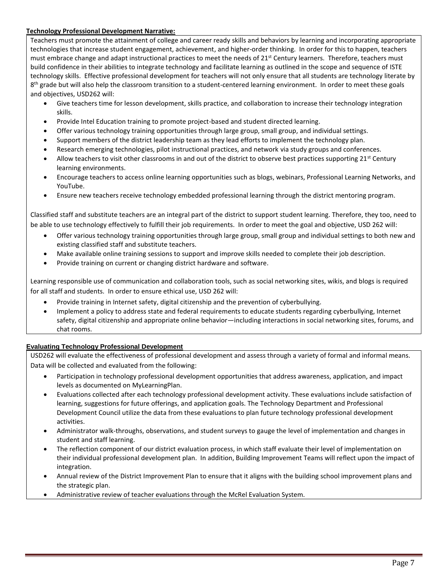#### **Technology Professional Development Narrative:**

Teachers must promote the attainment of college and career ready skills and behaviors by learning and incorporating appropriate technologies that increase student engagement, achievement, and higher-order thinking. In order for this to happen, teachers must embrace change and adapt instructional practices to meet the needs of 21<sup>st</sup> Century learners. Therefore, teachers must build confidence in their abilities to integrate technology and facilitate learning as outlined in the scope and sequence of ISTE technology skills. Effective professional development for teachers will not only ensure that all students are technology literate by 8<sup>th</sup> grade but will also help the classroom transition to a student-centered learning environment. In order to meet these goals and objectives, USD262 will:

- Give teachers time for lesson development, skills practice, and collaboration to increase their technology integration skills.
- Provide Intel Education training to promote project-based and student directed learning.
- Offer various technology training opportunities through large group, small group, and individual settings.
- Support members of the district leadership team as they lead efforts to implement the technology plan.
- Research emerging technologies, pilot instructional practices, and network via study groups and conferences.
- $\bullet$  Allow teachers to visit other classrooms in and out of the district to observe best practices supporting 21<sup>st</sup> Century learning environments.
- Encourage teachers to access online learning opportunities such as blogs, webinars, Professional Learning Networks, and YouTube.
- Ensure new teachers receive technology embedded professional learning through the district mentoring program.

Classified staff and substitute teachers are an integral part of the district to support student learning. Therefore, they too, need to be able to use technology effectively to fulfill their job requirements. In order to meet the goal and objective, USD 262 will:

- Offer various technology training opportunities through large group, small group and individual settings to both new and existing classified staff and substitute teachers.
- Make available online training sessions to support and improve skills needed to complete their job description.
- Provide training on current or changing district hardware and software.

Learning responsible use of communication and collaboration tools, such as social networking sites, wikis, and blogs is required for all staff and students. In order to ensure ethical use, USD 262 will:

- Provide training in Internet safety, digital citizenship and the prevention of cyberbullying.
- Implement a policy to address state and federal requirements to educate students regarding cyberbullying, Internet safety, digital citizenship and appropriate online behavior—including interactions in social networking sites, forums, and chat rooms.

# **Evaluating Technology Professional Development**

USD262 will evaluate the effectiveness of professional development and assess through a variety of formal and informal means. Data will be collected and evaluated from the following:

- Participation in technology professional development opportunities that address awareness, application, and impact levels as documented on MyLearningPlan.
- Evaluations collected after each technology professional development activity. These evaluations include satisfaction of learning, suggestions for future offerings, and application goals. The Technology Department and Professional Development Council utilize the data from these evaluations to plan future technology professional development activities.
- Administrator walk-throughs, observations, and student surveys to gauge the level of implementation and changes in student and staff learning.
- The reflection component of our district evaluation process, in which staff evaluate their level of implementation on their individual professional development plan. In addition, Building Improvement Teams will reflect upon the impact of integration.
- Annual review of the District Improvement Plan to ensure that it aligns with the building school improvement plans and the strategic plan.
- Administrative review of teacher evaluations through the McRel Evaluation System.